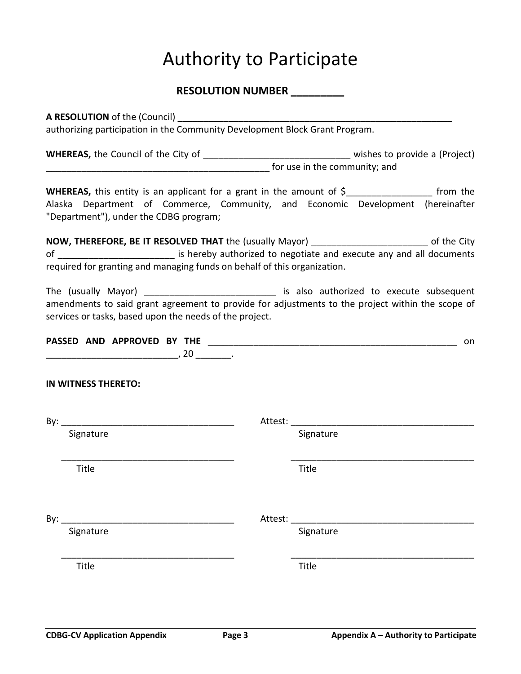# Authority to Participate

### **RESOLUTION NUMBER \_\_\_\_\_\_\_\_\_**

**A RESOLUTION** of the (Council) authorizing participation in the Community Development Block Grant Program.

**WHEREAS,** the Council of the City of \_\_\_\_\_\_\_\_\_\_\_\_\_\_\_\_\_\_\_\_\_\_\_\_\_\_\_\_\_ wishes to provide a (Project) for use in the community; and

**WHEREAS,** this entity is an applicant for a grant in the amount of \$ from the Alaska Department of Commerce, Community, and Economic Development (hereinafter "Department"), under the CDBG program;

**NOW, THEREFORE, BE IT RESOLVED THAT** the (usually Mayor) \_\_\_\_\_\_\_\_\_\_\_\_\_\_\_\_\_\_\_\_\_\_\_ of the City of **Example 20** of the state is hereby authorized to negotiate and execute any and all documents required for granting and managing funds on behalf of this organization.

The (usually Mayor) \_\_\_\_\_\_\_\_\_\_\_\_\_\_\_\_\_\_\_\_\_\_\_\_\_\_\_\_ is also authorized to execute subsequent amendments to said grant agreement to provide for adjustments to the project within the scope of services or tasks, based upon the needs of the project.

|  | PASSED AND APPROVED BY THE |   |    |  |
|--|----------------------------|---|----|--|
|  |                            | ີ | ∠⊾ |  |

### **IN WITNESS THERETO:**

| By: |           | Attest: |           |
|-----|-----------|---------|-----------|
|     | Signature |         | Signature |
|     |           |         |           |
|     | Title     |         | Title     |
|     |           |         |           |
| By: |           |         |           |
|     | Signature |         | Signature |
|     |           |         |           |
|     | Title     |         | Title     |
|     |           |         |           |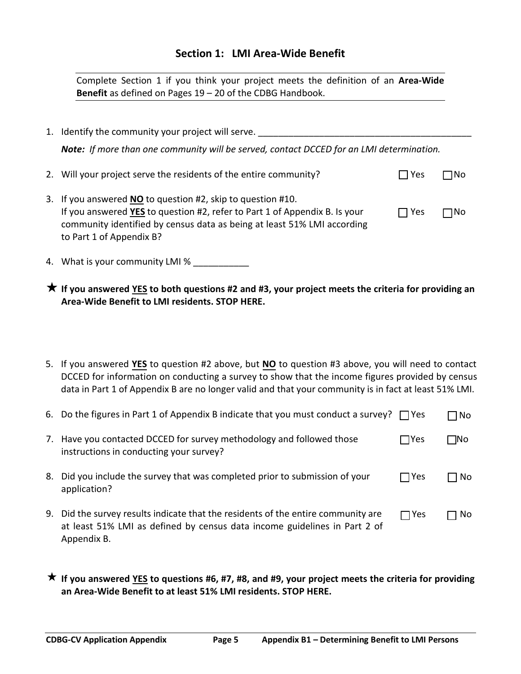### **Section 1: LMI Area-Wide Benefit**

Complete Section 1 if you think your project meets the definition of an **Area-Wide Benefit** as defined on Pages 19 – 20 of the CDBG Handbook.

- 1. Identify the community your project will serve. \_\_\_\_\_\_\_\_\_\_\_\_\_\_\_\_\_\_\_\_\_\_\_\_\_\_\_\_\_ *Note: If more than one community will be served, contact DCCED for an LMI determination.* 2. Will your project serve the residents of the entire community?  $\Box$  Yes  $\Box$  No 3. If you answered **NO** to question #2, skip to question #10. If you answered **YES** to question #2, refer to Part 1 of Appendix B. Is your  $\Box$  Yes  $\Box$  No community identified by census data as being at least 51% LMI according to Part 1 of Appendix B?
- 4. What is your community LMI % \_\_\_\_\_\_\_\_\_\_\_

| $\bigstar$ If you answered YES to both questions #2 and #3, your project meets the criteria for providing an |
|--------------------------------------------------------------------------------------------------------------|
| Area-Wide Benefit to LMI residents. STOP HERE.                                                               |

5. If you answered **YES** to question #2 above, but **NO** to question #3 above, you will need to contact DCCED for information on conducting a survey to show that the income figures provided by census data in Part 1 of Appendix B are no longer valid and that your community is in fact at least 51% LMI.

|    | 6. Do the figures in Part 1 of Appendix B indicate that you must conduct a survey? $\Box$ Yes                                                                              |            | ∩N⊓  |
|----|----------------------------------------------------------------------------------------------------------------------------------------------------------------------------|------------|------|
| 7. | Have you contacted DCCED for survey methodology and followed those<br>instructions in conducting your survey?                                                              | $\Box$ Yes | TNo. |
| 8. | Did you include the survey that was completed prior to submission of your<br>application?                                                                                  | $\Box$ Yes | No.  |
| 9. | Did the survey results indicate that the residents of the entire community are<br>at least 51% LMI as defined by census data income guidelines in Part 2 of<br>Appendix B. | $\Box$ Yes | No.  |

 **If you answered YES to questions #6, #7, #8, and #9, your project meets the criteria for providing an Area-Wide Benefit to at least 51% LMI residents. STOP HERE.**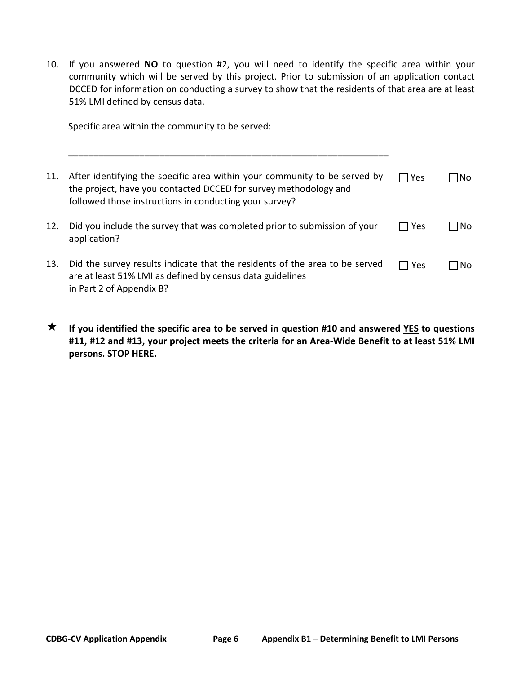10. If you answered **NO** to question #2, you will need to identify the specific area within your community which will be served by this project. Prior to submission of an application contact DCCED for information on conducting a survey to show that the residents of that area are at least 51% LMI defined by census data.

Specific area within the community to be served:

| 11. | After identifying the specific area within your community to be served by<br>the project, have you contacted DCCED for survey methodology and<br>followed those instructions in conducting your survey? | $\Box$ Yes | INo. |
|-----|---------------------------------------------------------------------------------------------------------------------------------------------------------------------------------------------------------|------------|------|
| 12. | Did you include the survey that was completed prior to submission of your<br>application?                                                                                                               | ∣ TYes     | No.  |
| 13. | Did the survey results indicate that the residents of the area to be served<br>are at least 51% LMI as defined by census data guidelines<br>in Part 2 of Appendix B?                                    | l Yes      | N٥   |

 **If you identified the specific area to be served in question #10 and answered YES to questions #11, #12 and #13, your project meets the criteria for an Area-Wide Benefit to at least 51% LMI persons. STOP HERE.**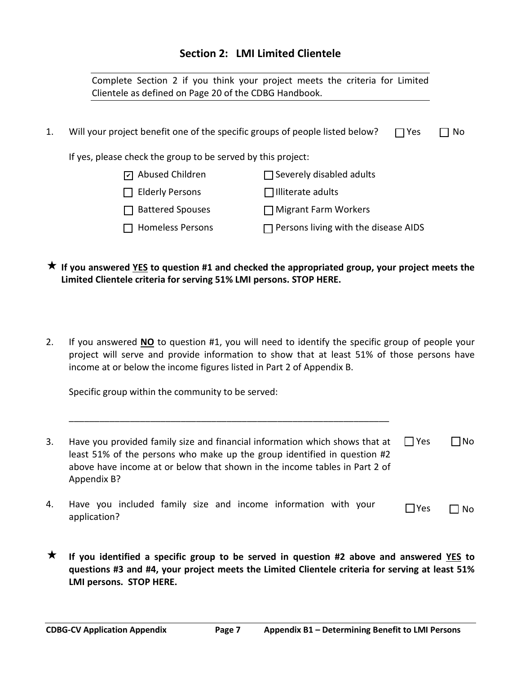## **Section 2: LMI Limited Clientele**

|    | Clientele as defined on Page 20 of the CDBG Handbook.                        | Complete Section 2 if you think your project meets the criteria for Limited |  |  |  |
|----|------------------------------------------------------------------------------|-----------------------------------------------------------------------------|--|--|--|
| 1. | Will your project benefit one of the specific groups of people listed below? | $\Box$ Yes<br>No.                                                           |  |  |  |
|    | If yes, please check the group to be served by this project:                 |                                                                             |  |  |  |
|    | Abused Children                                                              | $\Box$ Severely disabled adults                                             |  |  |  |
|    | <b>Elderly Persons</b>                                                       | $\Box$ Illiterate adults                                                    |  |  |  |
|    | <b>Battered Spouses</b>                                                      | $\Box$ Migrant Farm Workers                                                 |  |  |  |
|    | <b>Homeless Persons</b>                                                      | Persons living with the disease AIDS                                        |  |  |  |

- **If you answered YES to question #1 and checked the appropriated group, your project meets the Limited Clientele criteria for serving 51% LMI persons. STOP HERE.**
- 2. If you answered **NO** to question #1, you will need to identify the specific group of people your project will serve and provide information to show that at least 51% of those persons have income at or below the income figures listed in Part 2 of Appendix B.

Specific group within the community to be served:

| 3. | Have you provided family size and financial information which shows that at $\Box$ Yes<br>least 51% of the persons who make up the group identified in question #2<br>above have income at or below that shown in the income tables in Part 2 of<br>Appendix B? |             | $\Box$ No |
|----|-----------------------------------------------------------------------------------------------------------------------------------------------------------------------------------------------------------------------------------------------------------------|-------------|-----------|
| 4. | Have you included family size and income information with your                                                                                                                                                                                                  | <b>IYes</b> | Nο        |

\_\_\_\_\_\_\_\_\_\_\_\_\_\_\_\_\_\_\_\_\_\_\_\_\_\_\_\_\_\_\_\_\_\_\_\_\_\_\_\_\_\_\_\_\_\_\_\_\_\_\_\_\_\_\_\_\_\_\_\_\_\_\_

 **If you identified a specific group to be served in question #2 above and answered YES to questions #3 and #4, your project meets the Limited Clientele criteria for serving at least 51% LMI persons. STOP HERE.**

application?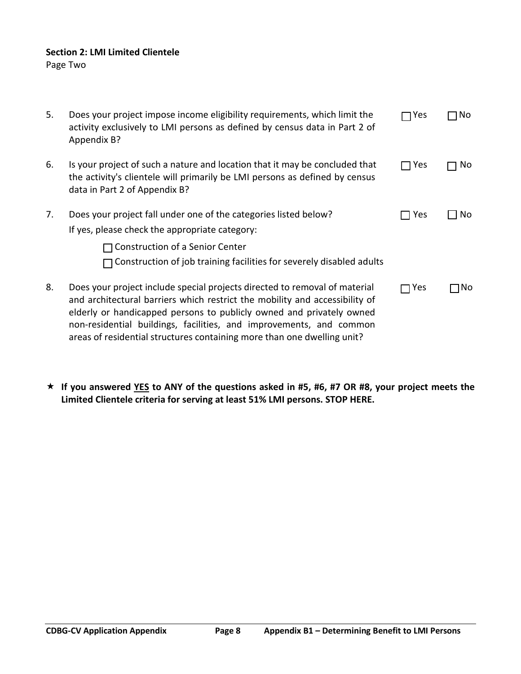## **Section 2: LMI Limited Clientele**

Page Two

| 5. | Does your project impose income eligibility requirements, which limit the<br>activity exclusively to LMI persons as defined by census data in Part 2 of<br>Appendix B?                                                                                                                                                                                                              | $\neg$ Yes | No   |
|----|-------------------------------------------------------------------------------------------------------------------------------------------------------------------------------------------------------------------------------------------------------------------------------------------------------------------------------------------------------------------------------------|------------|------|
| 6. | Is your project of such a nature and location that it may be concluded that<br>the activity's clientele will primarily be LMI persons as defined by census<br>data in Part 2 of Appendix B?                                                                                                                                                                                         | $\Box$ Yes | No.  |
| 7. | Does your project fall under one of the categories listed below?<br>If yes, please check the appropriate category:                                                                                                                                                                                                                                                                  | Yes        | No   |
|    | <b>Construction of a Senior Center</b>                                                                                                                                                                                                                                                                                                                                              |            |      |
|    | $\Box$ Construction of job training facilities for severely disabled adults                                                                                                                                                                                                                                                                                                         |            |      |
| 8. | Does your project include special projects directed to removal of material<br>and architectural barriers which restrict the mobility and accessibility of<br>elderly or handicapped persons to publicly owned and privately owned<br>non-residential buildings, facilities, and improvements, and common<br>areas of residential structures containing more than one dwelling unit? | Yes        | 1No. |

 **If you answered YES to ANY of the questions asked in #5, #6, #7 OR #8, your project meets the Limited Clientele criteria for serving at least 51% LMI persons. STOP HERE.**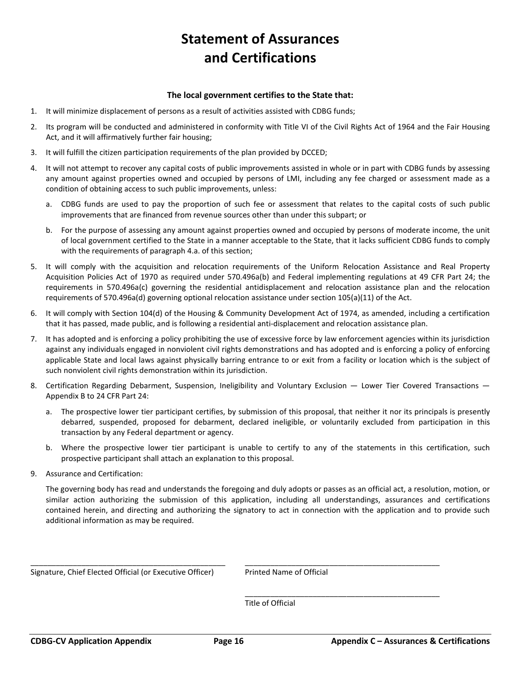## **Statement of Assurances and Certifications**

#### **The local government certifies to the State that:**

- 1. It will minimize displacement of persons as a result of activities assisted with CDBG funds;
- 2. Its program will be conducted and administered in conformity with Title VI of the Civil Rights Act of 1964 and the Fair Housing Act, and it will affirmatively further fair housing;
- 3. It will fulfill the citizen participation requirements of the plan provided by DCCED;
- 4. It will not attempt to recover any capital costs of public improvements assisted in whole or in part with CDBG funds by assessing any amount against properties owned and occupied by persons of LMI, including any fee charged or assessment made as a condition of obtaining access to such public improvements, unless:
	- a. CDBG funds are used to pay the proportion of such fee or assessment that relates to the capital costs of such public improvements that are financed from revenue sources other than under this subpart; or
	- b. For the purpose of assessing any amount against properties owned and occupied by persons of moderate income, the unit of local government certified to the State in a manner acceptable to the State, that it lacks sufficient CDBG funds to comply with the requirements of paragraph 4.a. of this section;
- 5. It will comply with the acquisition and relocation requirements of the Uniform Relocation Assistance and Real Property Acquisition Policies Act of 1970 as required under 570.496a(b) and Federal implementing regulations at 49 CFR Part 24; the requirements in 570.496a(c) governing the residential antidisplacement and relocation assistance plan and the relocation requirements of 570.496a(d) governing optional relocation assistance under section 105(a)(11) of the Act.
- 6. It will comply with Section 104(d) of the Housing & Community Development Act of 1974, as amended, including a certification that it has passed, made public, and is following a residential anti-displacement and relocation assistance plan.
- 7. It has adopted and is enforcing a policy prohibiting the use of excessive force by law enforcement agencies within its jurisdiction against any individuals engaged in nonviolent civil rights demonstrations and has adopted and is enforcing a policy of enforcing applicable State and local laws against physically barring entrance to or exit from a facility or location which is the subject of such nonviolent civil rights demonstration within its jurisdiction.
- 8. Certification Regarding Debarment, Suspension, Ineligibility and Voluntary Exclusion Lower Tier Covered Transactions Appendix B to 24 CFR Part 24:
	- a. The prospective lower tier participant certifies, by submission of this proposal, that neither it nor its principals is presently debarred, suspended, proposed for debarment, declared ineligible, or voluntarily excluded from participation in this transaction by any Federal department or agency.
	- b. Where the prospective lower tier participant is unable to certify to any of the statements in this certification, such prospective participant shall attach an explanation to this proposal.
- 9. Assurance and Certification:

The governing body has read and understands the foregoing and duly adopts or passes as an official act, a resolution, motion, or similar action authorizing the submission of this application, including all understandings, assurances and certifications contained herein, and directing and authorizing the signatory to act in connection with the application and to provide such additional information as may be required.

Signature, Chief Elected Official (or Executive Officer) Printed Name of Official

\_\_\_\_\_\_\_\_\_\_\_\_\_\_\_\_\_\_\_\_\_\_\_\_\_\_\_\_\_\_\_\_\_\_\_\_\_\_\_\_\_\_\_\_\_\_

Title of Official

\_\_\_\_\_\_\_\_\_\_\_\_\_\_\_\_\_\_\_\_\_\_\_\_\_\_\_\_\_\_\_\_\_\_\_\_\_\_\_\_\_\_\_\_\_\_ \_\_\_\_\_\_\_\_\_\_\_\_\_\_\_\_\_\_\_\_\_\_\_\_\_\_\_\_\_\_\_\_\_\_\_\_\_\_\_\_\_\_\_\_\_\_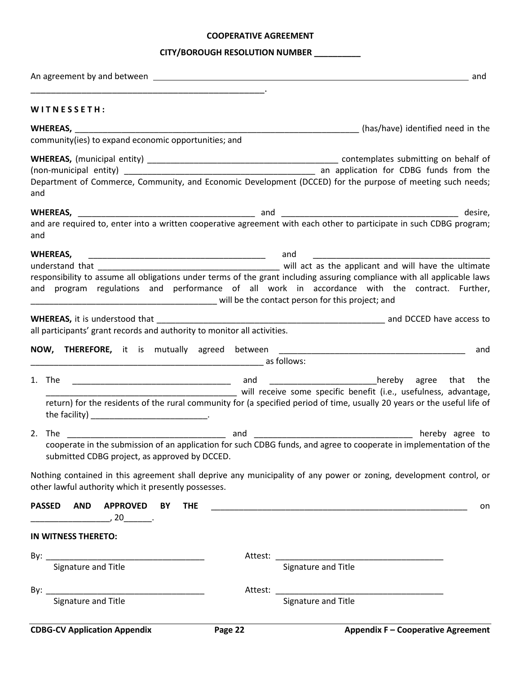### **COOPERATIVE AGREEMENT**

## **CITY/BOROUGH RESOLUTION NUMBER \_\_\_\_\_\_\_\_\_\_**

| WITNESSETH:                                                                                                       |         |                                                                                                                          |
|-------------------------------------------------------------------------------------------------------------------|---------|--------------------------------------------------------------------------------------------------------------------------|
|                                                                                                                   |         |                                                                                                                          |
| community(ies) to expand economic opportunities; and                                                              |         |                                                                                                                          |
|                                                                                                                   |         |                                                                                                                          |
|                                                                                                                   |         |                                                                                                                          |
| and                                                                                                               |         | Department of Commerce, Community, and Economic Development (DCCED) for the purpose of meeting such needs;               |
|                                                                                                                   |         |                                                                                                                          |
| and                                                                                                               |         |                                                                                                                          |
| WHEREAS,                                                                                                          |         | and                                                                                                                      |
|                                                                                                                   |         |                                                                                                                          |
|                                                                                                                   |         | responsibility to assume all obligations under terms of the grant including assuring compliance with all applicable laws |
| will be the contact person for this project; and                                                                  |         | and program regulations and performance of all work in accordance with the contract. Further,                            |
|                                                                                                                   |         |                                                                                                                          |
| <b>WHEREAS, it is understood that</b><br>all participants' grant records and authority to monitor all activities. |         |                                                                                                                          |
|                                                                                                                   |         |                                                                                                                          |
| NOW, THEREFORE, it is mutually agreed between                                                                     |         | and<br>as follows:                                                                                                       |
|                                                                                                                   |         |                                                                                                                          |
|                                                                                                                   |         |                                                                                                                          |
|                                                                                                                   |         | return) for the residents of the rural community for (a specified period of time, usually 20 years or the useful life of |
|                                                                                                                   |         |                                                                                                                          |
| 2. The                                                                                                            |         |                                                                                                                          |
|                                                                                                                   |         |                                                                                                                          |
| submitted CDBG project, as approved by DCCED.                                                                     |         |                                                                                                                          |
|                                                                                                                   |         | Nothing contained in this agreement shall deprive any municipality of any power or zoning, development control, or       |
| other lawful authority which it presently possesses.                                                              |         |                                                                                                                          |
| <b>PASSED</b><br><b>AND</b><br><b>APPROVED</b><br>BY<br><b>THE</b>                                                |         | on                                                                                                                       |
| $\sim$ 20 $\sim$                                                                                                  |         |                                                                                                                          |
| IN WITNESS THERETO:                                                                                               |         |                                                                                                                          |
|                                                                                                                   |         |                                                                                                                          |
|                                                                                                                   |         |                                                                                                                          |
|                                                                                                                   | Attest: |                                                                                                                          |
|                                                                                                                   |         | Signature and Title                                                                                                      |
|                                                                                                                   |         |                                                                                                                          |
| <b>CDBG-CV Application Appendix</b>                                                                               | Page 22 | <b>Appendix F - Cooperative Agreement</b>                                                                                |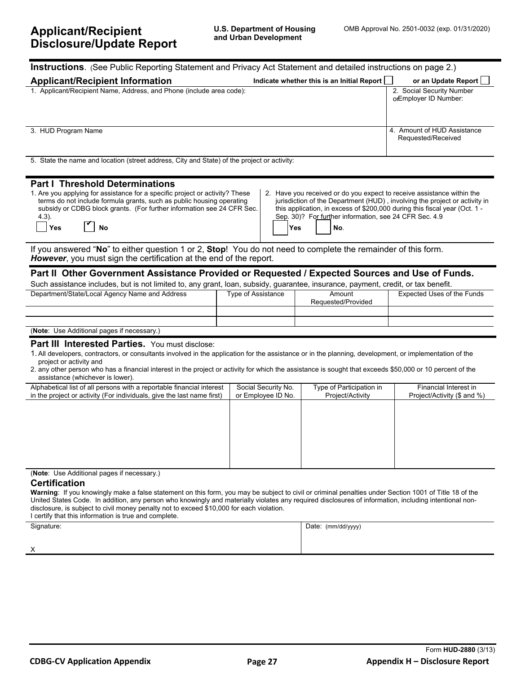| <b>Instructions</b> . (See Public Reporting Statement and Privacy Act Statement and detailed instructions on page 2.)                                                                                                                                                                                                                                                                                                                                                                                                                                                                                                   |                                                                                                                                                                                                                                                                                                                                                                                                             |                                              |                                                      |  |  |  |
|-------------------------------------------------------------------------------------------------------------------------------------------------------------------------------------------------------------------------------------------------------------------------------------------------------------------------------------------------------------------------------------------------------------------------------------------------------------------------------------------------------------------------------------------------------------------------------------------------------------------------|-------------------------------------------------------------------------------------------------------------------------------------------------------------------------------------------------------------------------------------------------------------------------------------------------------------------------------------------------------------------------------------------------------------|----------------------------------------------|------------------------------------------------------|--|--|--|
| <b>Applicant/Recipient Information</b><br>Indicate whether this is an Initial Report [<br>or an Update Report                                                                                                                                                                                                                                                                                                                                                                                                                                                                                                           |                                                                                                                                                                                                                                                                                                                                                                                                             |                                              |                                                      |  |  |  |
| 1. Applicant/Recipient Name, Address, and Phone (include area code):                                                                                                                                                                                                                                                                                                                                                                                                                                                                                                                                                    |                                                                                                                                                                                                                                                                                                                                                                                                             |                                              | 2. Social Security Number<br>orEmployer ID Number:   |  |  |  |
| 3. HUD Program Name                                                                                                                                                                                                                                                                                                                                                                                                                                                                                                                                                                                                     |                                                                                                                                                                                                                                                                                                                                                                                                             |                                              | 4. Amount of HUD Assistance<br>Requested/Received    |  |  |  |
| 5. State the name and location (street address, City and State) of the project or activity:                                                                                                                                                                                                                                                                                                                                                                                                                                                                                                                             |                                                                                                                                                                                                                                                                                                                                                                                                             |                                              |                                                      |  |  |  |
| <b>Part I Threshold Determinations</b><br>1. Are you applying for assistance for a specific project or activity? These<br>2. Have you received or do you expect to receive assistance within the<br>terms do not include formula grants, such as public housing operating<br>jurisdiction of the Department (HUD), involving the project or activity in<br>subsidy or CDBG block grants. (For further information see 24 CFR Sec.<br>this application, in excess of \$200,000 during this fiscal year (Oct. 1 -<br>Sep. 30)? For further information, see 24 CFR Sec. 4.9<br>$4.3$ ).<br><b>No</b><br>Yes<br>Yes<br>No. |                                                                                                                                                                                                                                                                                                                                                                                                             |                                              |                                                      |  |  |  |
| If you answered "No" to either question 1 or 2, Stop! You do not need to complete the remainder of this form.<br>However, you must sign the certification at the end of the report.                                                                                                                                                                                                                                                                                                                                                                                                                                     |                                                                                                                                                                                                                                                                                                                                                                                                             |                                              |                                                      |  |  |  |
| Part II Other Government Assistance Provided or Requested / Expected Sources and Use of Funds.<br>Such assistance includes, but is not limited to, any grant, loan, subsidy, guarantee, insurance, payment, credit, or tax benefit.                                                                                                                                                                                                                                                                                                                                                                                     |                                                                                                                                                                                                                                                                                                                                                                                                             |                                              |                                                      |  |  |  |
| Department/State/Local Agency Name and Address                                                                                                                                                                                                                                                                                                                                                                                                                                                                                                                                                                          | Type of Assistance                                                                                                                                                                                                                                                                                                                                                                                          | Amount<br>Requested/Provided                 | Expected Uses of the Funds                           |  |  |  |
|                                                                                                                                                                                                                                                                                                                                                                                                                                                                                                                                                                                                                         |                                                                                                                                                                                                                                                                                                                                                                                                             |                                              |                                                      |  |  |  |
| (Note: Use Additional pages if necessary.)                                                                                                                                                                                                                                                                                                                                                                                                                                                                                                                                                                              |                                                                                                                                                                                                                                                                                                                                                                                                             |                                              |                                                      |  |  |  |
| Part III Interested Parties. You must disclose:<br>1. All developers, contractors, or consultants involved in the application for the assistance or in the planning, development, or implementation of the<br>project or activity and<br>2. any other person who has a financial interest in the project or activity for which the assistance is sought that exceeds \$50,000 or 10 percent of the<br>assistance (whichever is lower).                                                                                                                                                                                  |                                                                                                                                                                                                                                                                                                                                                                                                             |                                              |                                                      |  |  |  |
| Alphabetical list of all persons with a reportable financial interest<br>in the project or activity (For individuals, give the last name first)                                                                                                                                                                                                                                                                                                                                                                                                                                                                         | Social Security No.<br>or Employee ID No.                                                                                                                                                                                                                                                                                                                                                                   | Type of Participation in<br>Project/Activity | Financial Interest in<br>Project/Activity (\$ and %) |  |  |  |
|                                                                                                                                                                                                                                                                                                                                                                                                                                                                                                                                                                                                                         |                                                                                                                                                                                                                                                                                                                                                                                                             |                                              |                                                      |  |  |  |
| (Note: Use Additional pages if necessary.)<br><b>Certification</b><br>I certify that this information is true and complete.                                                                                                                                                                                                                                                                                                                                                                                                                                                                                             | Warning: If you knowingly make a false statement on this form, you may be subject to civil or criminal penalties under Section 1001 of Title 18 of the<br>United States Code. In addition, any person who knowingly and materially violates any required disclosures of information, including intentional non-<br>disclosure, is subject to civil money penalty not to exceed \$10,000 for each violation. |                                              |                                                      |  |  |  |
| Signature:                                                                                                                                                                                                                                                                                                                                                                                                                                                                                                                                                                                                              |                                                                                                                                                                                                                                                                                                                                                                                                             | Date: (mm/dd/yyyy)                           |                                                      |  |  |  |